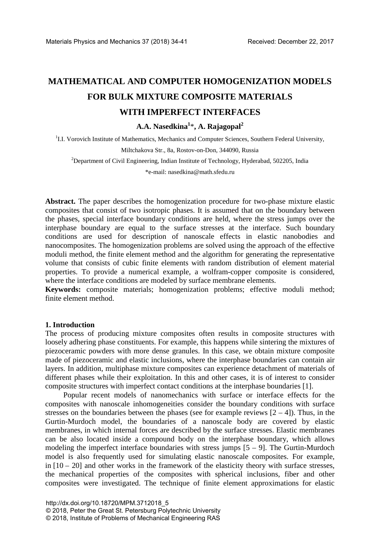# **MATHEMATICAL AND COMPUTER HOMOGENIZATION MODELS FOR BULK MIXTURE COMPOSITE MATERIALS WITH IMPERFECT INTERFACES**

**A.A. Nasedkina<sup>1</sup>** \***, A. Rajagopal<sup>2</sup>**

<sup>1</sup>I.I. Vorovich Institute of Mathematics, Mechanics and Computer Sciences, Southern Federal University,

Miltchakova Str., 8a, Rostov-on-Don, 344090, Russia

 $2$ Department of Civil Engineering, Indian Institute of Technology, Hyderabad, 502205, India

\*e-mail: nasedkina@math.sfedu.ru

**Abstract.** The paper describes the homogenization procedure for two-phase mixture elastic composites that consist of two isotropic phases. It is assumed that on the boundary between the phases, special interface boundary conditions are held, where the stress jumps over the interphase boundary are equal to the surface stresses at the interface. Such boundary conditions are used for description of nanoscale effects in elastic nanobodies and nanocomposites. The homogenization problems are solved using the approach of the effective moduli method, the finite element method and the algorithm for generating the representative volume that consists of cubic finite elements with random distribution of element material properties. To provide a numerical example, a wolfram-copper composite is considered, where the interface conditions are modeled by surface membrane elements.

**Keywords:** composite materials; homogenization problems; effective moduli method; finite element method.

### **1. Introduction**

The process of producing mixture composites often results in composite structures with loosely adhering phase constituents. For example, this happens while sintering the mixtures of piezoceramic powders with more dense granules. In this case, we obtain mixture composite made of piezoceramic and elastic inclusions, where the interphase boundaries can contain air layers. In addition, multiphase mixture composites can experience detachment of materials of different phases while their exploitation. In this and other cases, it is of interest to consider composite structures with imperfect contact conditions at the interphase boundaries [1].

Popular recent models of nanomechanics with surface or interface effects for the composites with nanoscale inhomogeneities consider the boundary conditions with surface stresses on the boundaries between the phases (see for example reviews  $[2 - 4]$ ). Thus, in the Gurtin-Murdoch model, the boundaries of a nanoscale body are covered by elastic membranes, in which internal forces are described by the surface stresses. Elastic membranes can be also located inside a compound body on the interphase boundary, which allows modeling the imperfect interface boundaries with stress jumps  $[5 - 9]$ . The Gurtin-Murdoch model is also frequently used for simulating elastic nanoscale composites. For example, in  $[10 - 20]$  and other works in the framework of the elasticity theory with surface stresses, the mechanical properties of the composites with spherical inclusions, fiber and other composites were investigated. The technique of finite element approximations for elastic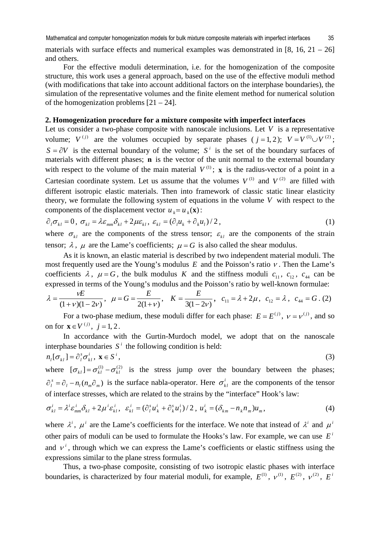materials with surface effects and numerical examples was demonstrated in  $[8, 16, 21 - 26]$ and others.

For the effective moduli determination, i.e. for the homogenization of the composite structure, this work uses a general approach, based on the use of the effective moduli method (with modifications that take into account additional factors on the interphase boundaries), the simulation of the representative volumes and the finite element method for numerical solution of the homogenization problems  $[21 - 24]$ .

## **2. Homogenization procedure for a mixture composite with imperfect interfaces**

Let us consider a two-phase composite with nanoscale inclusions. Let  $V$  is a representative volume;  $V^{(j)}$  are the volumes occupied by separate phases ( *j* = 1, 2);  $V = V^{(1)} \cup V^{(2)}$ ;  $S = \partial V$  is the external boundary of the volume; *S*<sup>*i*</sup> is the set of the boundary surfaces of materials with different phases; **n** is the vector of the unit normal to the external boundary with respect to the volume of the main material  $V^{(1)}$ ; **x** is the radius-vector of a point in a Cartesian coordinate system. Let us assume that the volumes  $V^{(1)}$  and  $V^{(2)}$  are filled with different isotropic elastic materials. Then into framework of classic static linear elasticity theory, we formulate the following system of equations in the volume *V* with respect to the components of the displacement vector  $u_{\nu} = u_{\nu}(\mathbf{x})$ :

$$
\partial_l \sigma_{kl} = 0, \ \sigma_{kl} = \lambda \varepsilon_{mm} \delta_{kl} + 2\mu \varepsilon_{kl}, \ \varepsilon_{kl} = (\partial_l u_k + \partial_k u_l)/2, \tag{1}
$$

where  $\sigma_{kl}$  are the components of the stress tensor;  $\varepsilon_{kl}$  are the components of the strain tensor;  $\lambda$ ,  $\mu$  are the Lame's coefficients;  $\mu = G$  is also called the shear modulus.

As it is known, an elastic material is described by two independent material moduli. The most frequently used are the Young's modulus *E* and the Poisson's ratio <sup>ν</sup> . Then the Lame's coefficients  $\lambda$ ,  $\mu = G$ , the bulk modulus *K* and the stiffness moduli  $c_{11}$ ,  $c_{12}$ ,  $c_{44}$  can be expressed in terms of the Young's modulus and the Poisson's ratio by well-known formulae:

$$
\lambda = \frac{vE}{(1+v)(1-2v)}, \quad \mu = G = \frac{E}{2(1+v)}, \quad K = \frac{E}{3(1-2v)}, \quad c_{11} = \lambda + 2\mu, \quad c_{12} = \lambda, \quad c_{44} = G. (2)
$$

For a two-phase medium, these moduli differ for each phase:  $E = E^{(j)}$ ,  $v = v^{(j)}$ , and so on for  $\mathbf{x} \in V^{(j)}$ ,  $j = 1, 2$ .

In accordance with the Gurtin-Murdoch model, we adopt that on the nanoscale interphase boundaries  $S^i$  the following condition is held:

$$
n_i[\sigma_{kl}] = \partial_i^s \sigma_{kl}^i, \mathbf{x} \in S^i,
$$
\n(3)

where  $[\sigma_{\nu}]=\sigma_{\nu}^{(1)}-\sigma_{\nu}^{(2)}$  is the stress jump over the boundary between the phases;  $\partial_l^s = \partial_l - n_l (n_m \partial_m)$  is the surface nabla-operator. Here  $\sigma_{kl}^i$  are the components of the tensor of interface stresses, which are related to the strains by the "interface" Hook's law:

$$
\sigma_{kl}^i = \lambda^i \varepsilon_{mm}^i \delta_{kl} + 2\mu^i \varepsilon_{kl}^i, \quad \varepsilon_{kl}^i = (\partial_i^s u_k^i + \partial_k^s u_l^i)/2 \,, \quad u_k^i = (\delta_{km} - n_k n_m) u_m, \tag{4}
$$

where  $\lambda^i$ ,  $\mu^i$  are the Lame's coefficients for the interface. We note that instead of  $\lambda^i$  and  $\mu^i$ other pairs of moduli can be used to formulate the Hooks's law. For example, we can use  $E^i$ and  $v^i$ , through which we can express the Lame's coefficients or elastic stiffness using the expressions similar to the plane stress formulas.

Thus, a two-phase composite, consisting of two isotropic elastic phases with interface boundaries, is characterized by four material moduli, for example,  $E^{(1)}$ ,  $v^{(1)}$ ,  $E^{(2)}$ ,  $v^{(2)}$ ,  $E^{i}$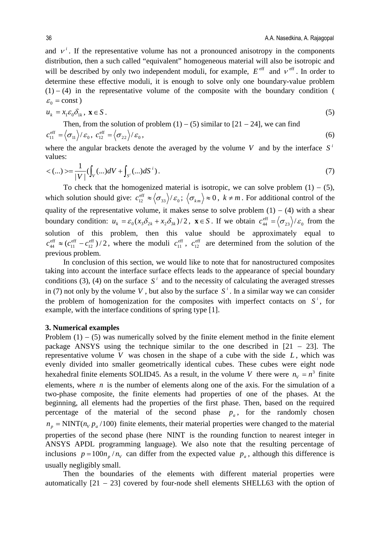and  $v<sup>i</sup>$ . If the representative volume has not a pronounced anisotropy in the components distribution, then a such called "equivalent" homogeneous material will also be isotropic and will be described by only two independent moduli, for example,  $E^{\text{eff}}$  and  $v^{\text{eff}}$ . In order to determine these effective moduli, it is enough to solve only one boundary-value problem  $(1) - (4)$  in the representative volume of the composite with the boundary condition (  $\varepsilon_0$  = const)

$$
u_k = x_1 \varepsilon_0 \delta_{1k}, \ \mathbf{x} \in S \,. \tag{5}
$$

Then, from the solution of problem (1) – (5) similar to [21 – 24], we can find  

$$
c_{11}^{\text{eff}} = \langle \sigma_{11} \rangle / \varepsilon_0, \ c_{12}^{\text{eff}} = \langle \sigma_{22} \rangle / \varepsilon_0,
$$
 (6)

where the angular brackets denote the averaged by the volume *V* and by the interface  $S^i$ values:

$$
\langle ... \rangle \rangle = \frac{1}{|V|} (\int_{V} (...) dV + \int_{S'} (...) dS^{i}). \tag{7}
$$

To check that the homogenized material is isotropic, we can solve problem  $(1) - (5)$ , which solution should give:  $c_{12}^{\text{eff}} \approx \langle \sigma_{33} \rangle / \varepsilon_0$ ;  $\langle \sigma_{km} \rangle \approx 0$ ,  $k \neq m$ . For additional control of the quality of the representative volume, it makes sense to solve problem  $(1) - (4)$  with a shear boundary condition:  $u_k = \varepsilon_0 (x_3 \delta_{2k} + x_2 \delta_{3k})/2$ ,  $\mathbf{x} \in S$ . If we obtain  $c_{44}^{\text{eff}} = \langle \sigma_{23} \rangle / \varepsilon_0$  from the solution of this problem, then this value should be approximately equal to  $(c_{11}^{\text{eff}} - c_{12}^{\text{eff}})/2$ eff 11  $c_{44}^{\text{eff}} \approx (c_{11}^{\text{eff}} - c_{12}^{\text{eff}})/2$ , where the moduli  $c_{11}^{\text{eff}}$ ,  $c_{12}^{\text{eff}}$  are determined from the solution of the previous problem.

In conclusion of this section, we would like to note that for nanostructured composites taking into account the interface surface effects leads to the appearance of special boundary conditions (3), (4) on the surface  $S^i$  and to the necessity of calculating the averaged stresses in (7) not only by the volume *V*, but also by the surface  $S^i$ . In a similar way we can consider the problem of homogenization for the composites with imperfect contacts on  $S<sup>i</sup>$ , for example, with the interface conditions of spring type [1].

#### **3. Numerical examples**

Problem  $(1) - (5)$  was numerically solved by the finite element method in the finite element package ANSYS using the technique similar to the one described in [21 − 23]. The representative volume  $V$  was chosen in the shape of a cube with the side  $L$ , which was evenly divided into smaller geometrically identical cubes. These cubes were eight node hexahedral finite elements SOLID45. As a result, in the volume *V* there were  $n_v = n^3$  finite elements, where *n* is the number of elements along one of the axis. For the simulation of a two-phase composite, the finite elements had properties of one of the phases. At the beginning, all elements had the properties of the first phase. Then, based on the required percentage of the material of the second phase  $p_a$ , for the randomly chosen  $n_p = NINT (n_v p_a / 100)$  finite elements, their material properties were changed to the material properties of the second phase (here NINT is the rounding function to nearest integer in ANSYS APDL programming language). We also note that the resulting percentage of inclusions  $p = 100n_p/n_v$  can differ from the expected value  $p_a$ , although this difference is usually negligibly small.

Then the boundaries of the elements with different material properties were automatically  $[21 - 23]$  covered by four-node shell elements SHELL63 with the option of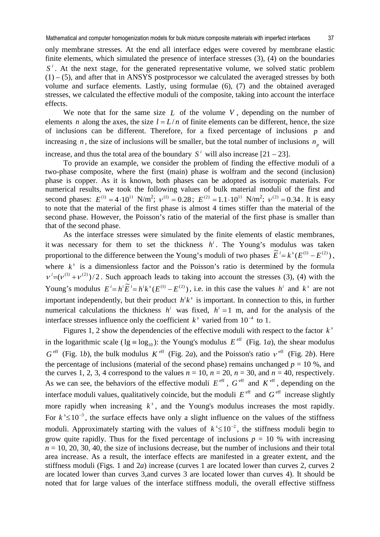only membrane stresses. At the end all interface edges were covered by membrane elastic finite elements, which simulated the presence of interface stresses (3), (4) on the boundaries  $S^i$ . At the next stage, for the generated representative volume, we solved static problem  $(1) - (5)$ , and after that in ANSYS postprocessor we calculated the averaged stresses by both volume and surface elements. Lastly, using formulae (6), (7) and the obtained averaged stresses, we calculated the effective moduli of the composite, taking into account the interface effects.

We note that for the same size *L* of the volume *V* , depending on the number of elements *n* along the axes, the size  $l = L/n$  of finite elements can be different, hence, the size of inclusions can be different. Therefore, for a fixed percentage of inclusions *p* and increasing *n*, the size of inclusions will be smaller, but the total number of inclusions  $n<sub>n</sub>$  will

increase, and thus the total area of the boundary  $S^i$  will also increase  $[21 - 23]$ .

To provide an example, we consider the problem of finding the effective moduli of a two-phase composite, where the first (main) phase is wolfram and the second (inclusion) phase is copper. As it is known, both phases can be adopted as isotropic materials. For numerical results, we took the following values of bulk material moduli of the first and second phases:  $E^{(1)} = 4 \cdot 10^{11} \text{ N/m}^2$ ;  $v^{(1)} = 0.28$ ;  $E^{(2)} = 1.1 \cdot 10^{11} \text{ N/m}^2$ ;  $v^{(2)} = 0.34$ . It is easy to note that the material of the first phase is almost 4 times stiffer than the material of the second phase. However, the Poisson's ratio of the material of the first phase is smaller than that of the second phase.

As the interface stresses were simulated by the finite elements of elastic membranes, it was necessary for them to set the thickness  $h^i$ . The Young's modulus was taken proportional to the difference between the Young's moduli of two phases  $\tilde{E}^i = k^s(E^{(1)} - E^{(2)})$ . where  $k^s$  is a dimensionless factor and the Poisson's ratio is determined by the formula  $v^{i}=(v^{(1)}+v^{(2)})/2$ . Such approach leads to taking into account the stresses (3), (4) with the Young's modulus  $E^{i} = h^{i} \tilde{E}^{i} = h^{i} k^{s} (E^{(1)} - E^{(2)})$ , i.e. in this case the values  $h^{i}$  and  $k^{s}$  are not important independently, but their product  $h^{i}k^{s}$  is important. In connection to this, in further numerical calculations the thickness  $h^i$  was fixed,  $h^i = 1$  m, and for the analysis of the interface stresses influence only the coefficient  $k^s$  varied from  $10^{-4}$  to 1.

Figures 1, 2 show the dependencies of the effective moduli with respect to the factor  $k^s$ in the logarithmic scale ( $lg \equiv log_{10}$ ): the Young's modulus  $E^{\text{eff}}$  (Fig. 1*a*), the shear modulus  $G^{\text{eff}}$  (Fig. 1*b*), the bulk modulus  $K^{\text{eff}}$  (Fig. 2*a*), and the Poisson's ratio  $v^{\text{eff}}$  (Fig. 2*b*). Here the percentage of inclusions (material of the second phase) remains unchanged  $p = 10$  %, and the curves 1, 2, 3, 4 correspond to the values  $n = 10$ ,  $n = 20$ ,  $n = 30$ , and  $n = 40$ , respectively. As we can see, the behaviors of the effective moduli  $E^{\text{eff}}$ ,  $G^{\text{eff}}$  and  $K^{\text{eff}}$ , depending on the interface moduli values, qualitatively coincide, but the moduli  $E^{\text{eff}}$  and  $G^{\text{eff}}$  increase slightly more rapidly when increasing  $k^s$ , and the Young's modulus increases the most rapidly. For  $k^s$  ≤ 10<sup>-3</sup>, the surface effects have only a slight influence on the values of the stiffness moduli. Approximately starting with the values of  $k^s \le 10^{-2}$ , the stiffness moduli begin to grow quite rapidly. Thus for the fixed percentage of inclusions  $p = 10$  % with increasing  $n = 10, 20, 30, 40$ , the size of inclusions decrease, but the number of inclusions and their total area increase. As a result, the interface effects are manifested in a greater extent, and the stiffness moduli (Figs. 1 and 2*a*) increase (curves 1 are located lower than curves 2, curves 2 are located lower than curves 3,and curves 3 are located lower than curves 4). It should be noted that for large values of the interface stiffness moduli, the overall effective stiffness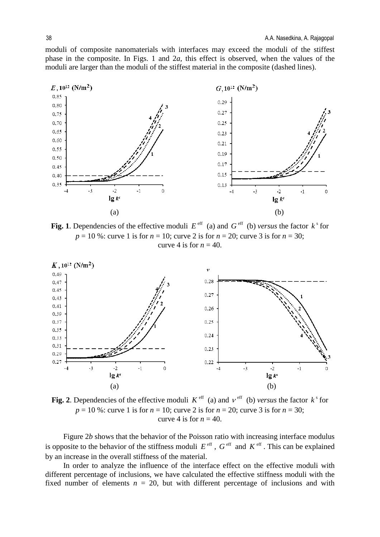moduli of composite nanomaterials with interfaces may exceed the moduli of the stiffest phase in the composite. In Figs. 1 and 2*a*, this effect is observed, when the values of the moduli are larger than the moduli of the stiffest material in the composite (dashed lines).



**Fig. 1**. Dependencies of the effective moduli  $E^{\text{eff}}$  (a) and  $G^{\text{eff}}$  (b) *versus* the factor  $k^s$  for *p* = 10 %: curve 1 is for *n* = 10; curve 2 is for *n* = 20; curve 3 is for *n* = 30; curve 4 is for  $n = 40$ .



**Fig. 2**. Dependencies of the effective moduli  $K^{\text{eff}}$  (a) and  $v^{\text{eff}}$  (b) *versus* the factor  $k^{\text{s}}$  for *p* = 10 %: curve 1 is for *n* = 10; curve 2 is for *n* = 20; curve 3 is for *n* = 30; curve 4 is for  $n = 40$ .

Figure 2*b* shows that the behavior of the Poisson ratio with increasing interface modulus is opposite to the behavior of the stiffness moduli  $E^{\text{eff}}$ ,  $G^{\text{eff}}$  and  $K^{\text{eff}}$ . This can be explained by an increase in the overall stiffness of the material.

In order to analyze the influence of the interface effect on the effective moduli with different percentage of inclusions, we have calculated the effective stiffness moduli with the fixed number of elements  $n = 20$ , but with different percentage of inclusions and with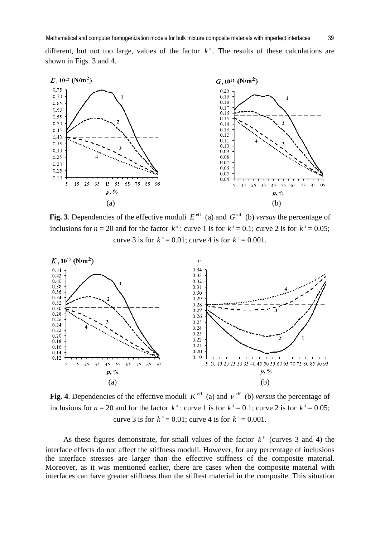different, but not too large, values of the factor  $k^s$ . The results of these calculations are shown in Figs. 3 and 4.



**Fig. 3**. Dependencies of the effective moduli  $E^{\text{eff}}$  (a) and  $G^{\text{eff}}$  (b) *versus* the percentage of inclusions for  $n = 20$  and for the factor  $k^s$ : curve 1 is for  $k^s = 0.1$ ; curve 2 is for  $k^s = 0.05$ ; curve 3 is for  $k^s = 0.01$ ; curve 4 is for  $k^s = 0.001$ .



**Fig. 4**. Dependencies of the effective moduli  $K^{\text{eff}}$  (a) and  $v^{\text{eff}}$  (b) *versus* the percentage of inclusions for  $n = 20$  and for the factor  $k^s$ : curve 1 is for  $k^s = 0.1$ ; curve 2 is for  $k^s = 0.05$ ; curve 3 is for  $k^s = 0.01$ ; curve 4 is for  $k^s = 0.001$ .

As these figures demonstrate, for small values of the factor  $k^s$  (curves 3 and 4) the interface effects do not affect the stiffness moduli. However, for any percentage of inclusions the interface stresses are larger than the effective stiffness of the composite material. Moreover, as it was mentioned earlier, there are cases when the composite material with interfaces can have greater stiffness than the stiffest material in the composite. This situation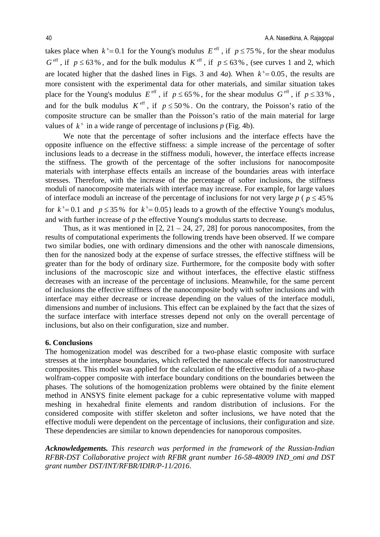takes place when  $k^s = 0.1$  for the Young's modulus  $E^{\text{eff}}$ , if  $p \le 75\%$ , for the shear modulus  $G^{\text{eff}}$ , if  $p \leq 63\%$ , and for the bulk modulus  $K^{\text{eff}}$ , if  $p \leq 63\%$ , (see curves 1 and 2, which are located higher that the dashed lines in Figs. 3 and 4*a*). When  $k^s = 0.05$ , the results are more consistent with the experimental data for other materials, and similar situation takes place for the Young's modulus  $E^{\text{eff}}$ , if  $p \le 65\%$ , for the shear modulus  $G^{\text{eff}}$ , if  $p \le 33\%$ , and for the bulk modulus  $K^{\text{eff}}$ , if  $p \le 50\%$ . On the contrary, the Poisson's ratio of the composite structure can be smaller than the Poisson's ratio of the main material for large values of  $k^s$  in a wide range of percentage of inclusions  $p$  (Fig. 4b).

We note that the percentage of softer inclusions and the interface effects have the opposite influence on the effective stiffness: a simple increase of the percentage of softer inclusions leads to a decrease in the stiffness moduli, however, the interface effects increase the stiffness. The growth of the percentage of the softer inclusions for nanocomposite materials with interphase effects entails an increase of the boundaries areas with interface stresses. Therefore, with the increase of the percentage of softer inclusions, the stiffness moduli of nanocomposite materials with interface may increase. For example, for large values of interface moduli an increase of the percentage of inclusions for not very large  $p$  ( $p \leq 45\%$ ) for  $k^s = 0.1$  and  $p \le 35\%$  for  $k^s = 0.05$ ) leads to a growth of the effective Young's modulus, and with further increase of *p* the effective Young's modulus starts to decrease.

Thus, as it was mentioned in  $[2, 21 - 24, 27, 28]$  for porous nanocomposites, from the results of computational experiments the following trends have been observed. If we compare two similar bodies, one with ordinary dimensions and the other with nanoscale dimensions, then for the nanosized body at the expense of surface stresses, the effective stiffness will be greater than for the body of ordinary size. Furthermore, for the composite body with softer inclusions of the macroscopic size and without interfaces, the effective elastic stiffness decreases with an increase of the percentage of inclusions. Meanwhile, for the same percent of inclusions the effective stiffness of the nanocomposite body with softer inclusions and with interface may either decrease or increase depending on the values of the interface moduli, dimensions and number of inclusions. This effect can be explained by the fact that the sizes of the surface interface with interface stresses depend not only on the overall percentage of inclusions, but also on their configuration, size and number.

#### **6. Conclusions**

The homogenization model was described for a two-phase elastic composite with surface stresses at the interphase boundaries, which reflected the nanoscale effects for nanostructured composites. This model was applied for the calculation of the effective moduli of a two-phase wolfram-copper composite with interface boundary conditions on the boundaries between the phases. The solutions of the homogenization problems were obtained by the finite element method in ANSYS finite element package for a cubic representative volume with mapped meshing in hexahedral finite elements and random distribution of inclusions. For the considered composite with stiffer skeleton and softer inclusions, we have noted that the effective moduli were dependent on the percentage of inclusions, their configuration and size. These dependencies are similar to known dependencies for nanoporous composites.

*Acknowledgements. This research was performed in the framework of the Russian-Indian RFBR-DST Collaborative project with RFBR grant number 16-58-48009 IND\_omi and DST grant number DST/INT/RFBR/IDIR/P-11/2016*.